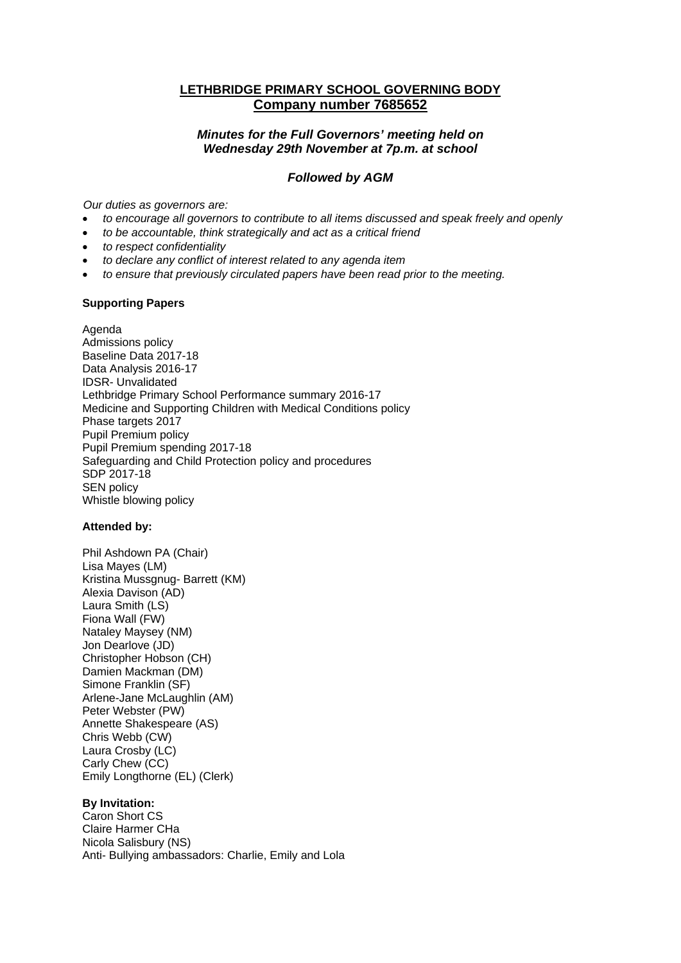# **LETHBRIDGE PRIMARY SCHOOL GOVERNING BODY Company number 7685652**

## *Minutes for the Full Governors' meeting held on Wednesday 29th November at 7p.m. at school*

## *Followed by AGM*

*Our duties as governors are:* 

- *to encourage all governors to contribute to all items discussed and speak freely and openly*
- *to be accountable, think strategically and act as a critical friend*
- *to respect confidentiality*
- *to declare any conflict of interest related to any agenda item*
- *to ensure that previously circulated papers have been read prior to the meeting.*

### **Supporting Papers**

Agenda Admissions policy Baseline Data 2017-18 Data Analysis 2016-17 IDSR- Unvalidated Lethbridge Primary School Performance summary 2016-17 Medicine and Supporting Children with Medical Conditions policy Phase targets 2017 Pupil Premium policy Pupil Premium spending 2017-18 Safeguarding and Child Protection policy and procedures SDP 2017-18 SEN policy Whistle blowing policy

## **Attended by:**

Phil Ashdown PA (Chair) Lisa Mayes (LM) Kristina Mussgnug- Barrett (KM) Alexia Davison (AD) Laura Smith (LS) Fiona Wall (FW) Nataley Maysey (NM) Jon Dearlove (JD) Christopher Hobson (CH) Damien Mackman (DM) Simone Franklin (SF) Arlene-Jane McLaughlin (AM) Peter Webster (PW) Annette Shakespeare (AS) Chris Webb (CW) Laura Crosby (LC) Carly Chew (CC) Emily Longthorne (EL) (Clerk)

#### **By Invitation:**

Caron Short CS Claire Harmer CHa Nicola Salisbury (NS) Anti- Bullying ambassadors: Charlie, Emily and Lola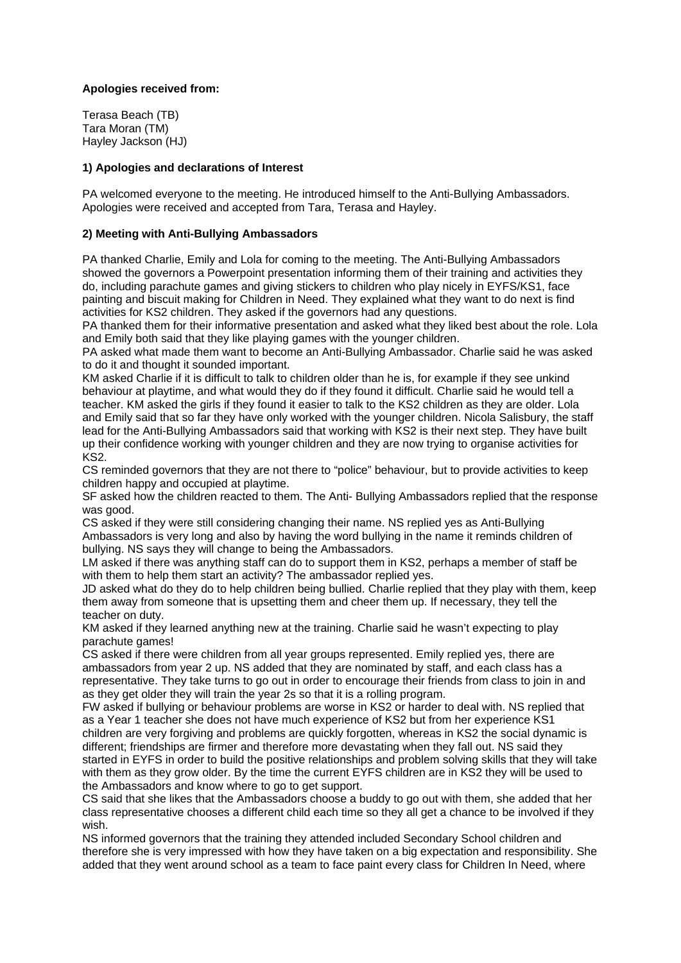## **Apologies received from:**

Terasa Beach (TB) Tara Moran (TM) Hayley Jackson (HJ)

#### **1) Apologies and declarations of Interest**

PA welcomed everyone to the meeting. He introduced himself to the Anti-Bullying Ambassadors. Apologies were received and accepted from Tara, Terasa and Hayley.

### **2) Meeting with Anti-Bullying Ambassadors**

PA thanked Charlie, Emily and Lola for coming to the meeting. The Anti-Bullying Ambassadors showed the governors a Powerpoint presentation informing them of their training and activities they do, including parachute games and giving stickers to children who play nicely in EYFS/KS1, face painting and biscuit making for Children in Need. They explained what they want to do next is find activities for KS2 children. They asked if the governors had any questions.

PA thanked them for their informative presentation and asked what they liked best about the role. Lola and Emily both said that they like playing games with the younger children.

PA asked what made them want to become an Anti-Bullying Ambassador. Charlie said he was asked to do it and thought it sounded important.

KM asked Charlie if it is difficult to talk to children older than he is, for example if they see unkind behaviour at playtime, and what would they do if they found it difficult. Charlie said he would tell a teacher. KM asked the girls if they found it easier to talk to the KS2 children as they are older. Lola and Emily said that so far they have only worked with the younger children. Nicola Salisbury, the staff lead for the Anti-Bullying Ambassadors said that working with KS2 is their next step. They have built up their confidence working with younger children and they are now trying to organise activities for KS2.

CS reminded governors that they are not there to "police" behaviour, but to provide activities to keep children happy and occupied at playtime.

SF asked how the children reacted to them. The Anti- Bullying Ambassadors replied that the response was good.

CS asked if they were still considering changing their name. NS replied yes as Anti-Bullying Ambassadors is very long and also by having the word bullying in the name it reminds children of bullying. NS says they will change to being the Ambassadors.

LM asked if there was anything staff can do to support them in KS2, perhaps a member of staff be with them to help them start an activity? The ambassador replied yes.

JD asked what do they do to help children being bullied. Charlie replied that they play with them, keep them away from someone that is upsetting them and cheer them up. If necessary, they tell the teacher on duty.

KM asked if they learned anything new at the training. Charlie said he wasn't expecting to play parachute games!

CS asked if there were children from all year groups represented. Emily replied yes, there are ambassadors from year 2 up. NS added that they are nominated by staff, and each class has a representative. They take turns to go out in order to encourage their friends from class to join in and as they get older they will train the year 2s so that it is a rolling program.

FW asked if bullying or behaviour problems are worse in KS2 or harder to deal with. NS replied that as a Year 1 teacher she does not have much experience of KS2 but from her experience KS1 children are very forgiving and problems are quickly forgotten, whereas in KS2 the social dynamic is different; friendships are firmer and therefore more devastating when they fall out. NS said they started in EYFS in order to build the positive relationships and problem solving skills that they will take with them as they grow older. By the time the current EYFS children are in KS2 they will be used to the Ambassadors and know where to go to get support.

CS said that she likes that the Ambassadors choose a buddy to go out with them, she added that her class representative chooses a different child each time so they all get a chance to be involved if they wish.

NS informed governors that the training they attended included Secondary School children and therefore she is very impressed with how they have taken on a big expectation and responsibility. She added that they went around school as a team to face paint every class for Children In Need, where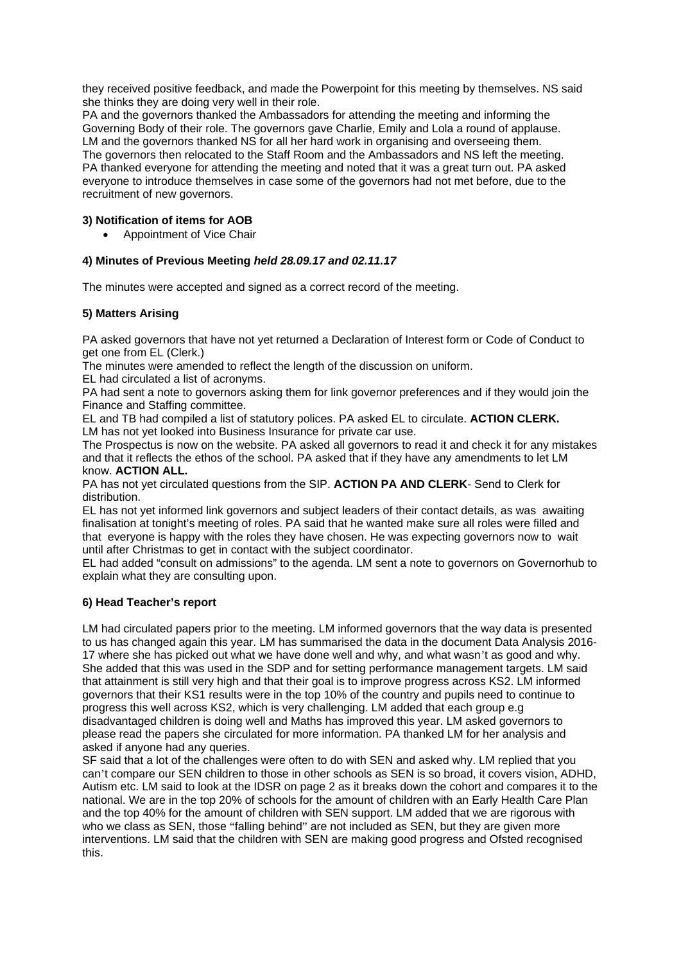they received positive feedback, and made the Powerpoint for this meeting by themselves. NS said she thinks they are doing very well in their role.

PA and the governors thanked the Ambassadors for attending the meeting and informing the Governing Body of their role. The governors gave Charlie, Emily and Lola a round of applause. LM and the governors thanked NS for all her hard work in organising and overseeing them. The governors then relocated to the Staff Room and the Ambassadors and NS left the meeting. PA thanked everyone for attending the meeting and noted that it was a great turn out. PA asked everyone to introduce themselves in case some of the governors had not met before, due to the recruitment of new governors.

## **3) Notification of items for AOB**

Appointment of Vice Chair

### **4) Minutes of Previous Meeting** *held 28.09.17 and 02.11.17*

The minutes were accepted and signed as a correct record of the meeting.

### **5) Matters Arising**

PA asked governors that have not yet returned a Declaration of Interest form or Code of Conduct to get one from EL (Clerk.)

The minutes were amended to reflect the length of the discussion on uniform.

EL had circulated a list of acronyms.

PA had sent a note to governors asking them for link governor preferences and if they would join the Finance and Staffing committee.

EL and TB had compiled a list of statutory polices. PA asked EL to circulate. **ACTION CLERK.** LM has not yet looked into Business Insurance for private car use.

The Prospectus is now on the website. PA asked all governors to read it and check it for any mistakes and that it reflects the ethos of the school. PA asked that if they have any amendments to let LM know. **ACTION ALL.** 

PA has not yet circulated questions from the SIP. **ACTION PA AND CLERK**- Send to Clerk for distribution.

EL has not yet informed link governors and subject leaders of their contact details, as was awaiting finalisation at tonight's meeting of roles. PA said that he wanted make sure all roles were filled and that everyone is happy with the roles they have chosen. He was expecting governors now to wait until after Christmas to get in contact with the subject coordinator.

EL had added "consult on admissions" to the agenda. LM sent a note to governors on Governorhub to explain what they are consulting upon.

## **6) Head Teacher's report**

LM had circulated papers prior to the meeting. LM informed governors that the way data is presented to us has changed again this year. LM has summarised the data in the document Data Analysis 2016- 17 where she has picked out what we have done well and why, and what wasn't as good and why. She added that this was used in the SDP and for setting performance management targets. LM said that attainment is still very high and that their goal is to improve progress across KS2. LM informed governors that their KS1 results were in the top 10% of the country and pupils need to continue to progress this well across KS2, which is very challenging. LM added that each group e.g disadvantaged children is doing well and Maths has improved this year. LM asked governors to please read the papers she circulated for more information. PA thanked LM for her analysis and asked if anyone had any queries.

SF said that a lot of the challenges were often to do with SEN and asked why. LM replied that you can't compare our SEN children to those in other schools as SEN is so broad, it covers vision, ADHD, Autism etc. LM said to look at the IDSR on page 2 as it breaks down the cohort and compares it to the national. We are in the top 20% of schools for the amount of children with an Early Health Care Plan and the top 40% for the amount of children with SEN support. LM added that we are rigorous with who we class as SEN, those "falling behind" are not included as SEN, but they are given more interventions. LM said that the children with SEN are making good progress and Ofsted recognised this.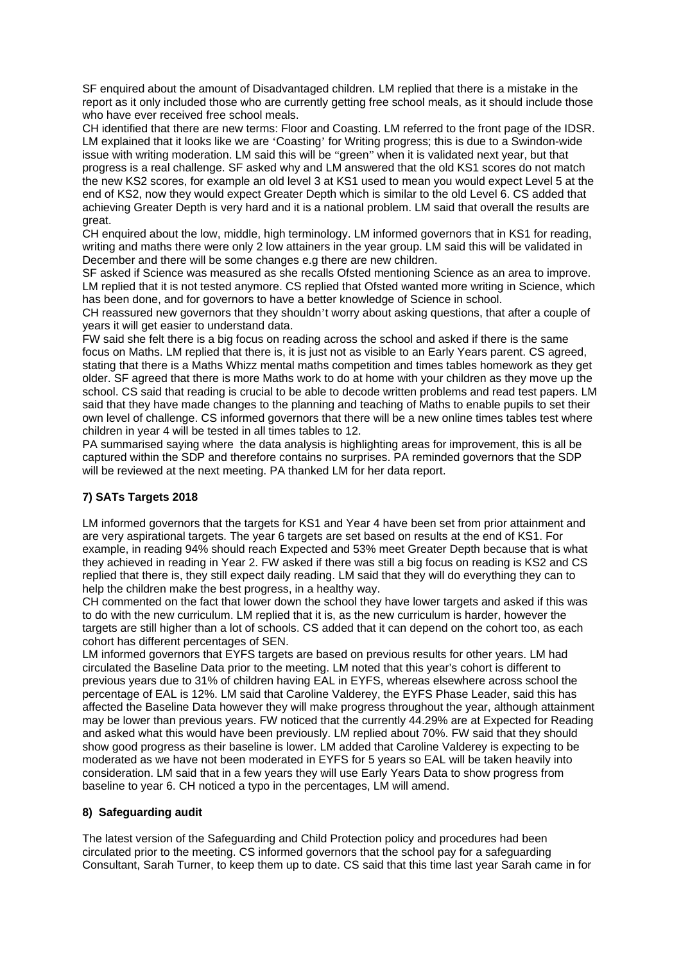SF enquired about the amount of Disadvantaged children. LM replied that there is a mistake in the report as it only included those who are currently getting free school meals, as it should include those who have ever received free school meals.

CH identified that there are new terms: Floor and Coasting. LM referred to the front page of the IDSR. LM explained that it looks like we are 'Coasting' for Writing progress; this is due to a Swindon-wide issue with writing moderation. LM said this will be "green" when it is validated next year, but that progress is a real challenge. SF asked why and LM answered that the old KS1 scores do not match the new KS2 scores, for example an old level 3 at KS1 used to mean you would expect Level 5 at the end of KS2, now they would expect Greater Depth which is similar to the old Level 6. CS added that achieving Greater Depth is very hard and it is a national problem. LM said that overall the results are great.

CH enquired about the low, middle, high terminology. LM informed governors that in KS1 for reading, writing and maths there were only 2 low attainers in the year group. LM said this will be validated in December and there will be some changes e.g there are new children.

SF asked if Science was measured as she recalls Ofsted mentioning Science as an area to improve. LM replied that it is not tested anymore. CS replied that Ofsted wanted more writing in Science, which has been done, and for governors to have a better knowledge of Science in school.

CH reassured new governors that they shouldn't worry about asking questions, that after a couple of years it will get easier to understand data.

FW said she felt there is a big focus on reading across the school and asked if there is the same focus on Maths. LM replied that there is, it is just not as visible to an Early Years parent. CS agreed, stating that there is a Maths Whizz mental maths competition and times tables homework as they get older. SF agreed that there is more Maths work to do at home with your children as they move up the school. CS said that reading is crucial to be able to decode written problems and read test papers. LM said that they have made changes to the planning and teaching of Maths to enable pupils to set their own level of challenge. CS informed governors that there will be a new online times tables test where children in year 4 will be tested in all times tables to 12.

PA summarised saying where the data analysis is highlighting areas for improvement, this is all be captured within the SDP and therefore contains no surprises. PA reminded governors that the SDP will be reviewed at the next meeting. PA thanked LM for her data report.

## **7) SATs Targets 2018**

LM informed governors that the targets for KS1 and Year 4 have been set from prior attainment and are very aspirational targets. The year 6 targets are set based on results at the end of KS1. For example, in reading 94% should reach Expected and 53% meet Greater Depth because that is what they achieved in reading in Year 2. FW asked if there was still a big focus on reading is KS2 and CS replied that there is, they still expect daily reading. LM said that they will do everything they can to help the children make the best progress, in a healthy way.

CH commented on the fact that lower down the school they have lower targets and asked if this was to do with the new curriculum. LM replied that it is, as the new curriculum is harder, however the targets are still higher than a lot of schools. CS added that it can depend on the cohort too, as each cohort has different percentages of SEN.

LM informed governors that EYFS targets are based on previous results for other years. LM had circulated the Baseline Data prior to the meeting. LM noted that this year's cohort is different to previous years due to 31% of children having EAL in EYFS, whereas elsewhere across school the percentage of EAL is 12%. LM said that Caroline Valderey, the EYFS Phase Leader, said this has affected the Baseline Data however they will make progress throughout the year, although attainment may be lower than previous years. FW noticed that the currently 44.29% are at Expected for Reading and asked what this would have been previously. LM replied about 70%. FW said that they should show good progress as their baseline is lower. LM added that Caroline Valderey is expecting to be moderated as we have not been moderated in EYFS for 5 years so EAL will be taken heavily into consideration. LM said that in a few years they will use Early Years Data to show progress from baseline to year 6. CH noticed a typo in the percentages, LM will amend.

## **8) Safeguarding audit**

The latest version of the Safeguarding and Child Protection policy and procedures had been circulated prior to the meeting. CS informed governors that the school pay for a safeguarding Consultant, Sarah Turner, to keep them up to date. CS said that this time last year Sarah came in for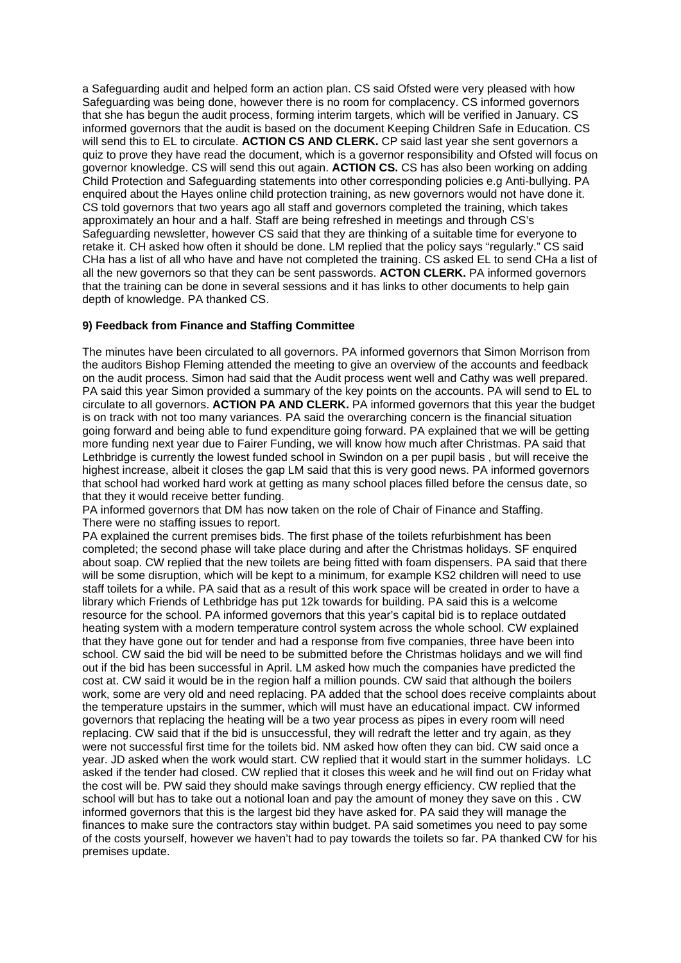a Safeguarding audit and helped form an action plan. CS said Ofsted were very pleased with how Safeguarding was being done, however there is no room for complacency. CS informed governors that she has begun the audit process, forming interim targets, which will be verified in January. CS informed governors that the audit is based on the document Keeping Children Safe in Education. CS will send this to EL to circulate. **ACTION CS AND CLERK.** CP said last year she sent governors a quiz to prove they have read the document, which is a governor responsibility and Ofsted will focus on governor knowledge. CS will send this out again. **ACTION CS.** CS has also been working on adding Child Protection and Safeguarding statements into other corresponding policies e.g Anti-bullying. PA enquired about the Hayes online child protection training, as new governors would not have done it. CS told governors that two years ago all staff and governors completed the training, which takes approximately an hour and a half. Staff are being refreshed in meetings and through CS's Safeguarding newsletter, however CS said that they are thinking of a suitable time for everyone to retake it. CH asked how often it should be done. LM replied that the policy says "regularly." CS said CHa has a list of all who have and have not completed the training. CS asked EL to send CHa a list of all the new governors so that they can be sent passwords. **ACTON CLERK.** PA informed governors that the training can be done in several sessions and it has links to other documents to help gain depth of knowledge. PA thanked CS.

## **9) Feedback from Finance and Staffing Committee**

The minutes have been circulated to all governors. PA informed governors that Simon Morrison from the auditors Bishop Fleming attended the meeting to give an overview of the accounts and feedback on the audit process. Simon had said that the Audit process went well and Cathy was well prepared. PA said this year Simon provided a summary of the key points on the accounts. PA will send to EL to circulate to all governors. **ACTION PA AND CLERK.** PA informed governors that this year the budget is on track with not too many variances. PA said the overarching concern is the financial situation going forward and being able to fund expenditure going forward. PA explained that we will be getting more funding next year due to Fairer Funding, we will know how much after Christmas. PA said that Lethbridge is currently the lowest funded school in Swindon on a per pupil basis , but will receive the highest increase, albeit it closes the gap LM said that this is very good news. PA informed governors that school had worked hard work at getting as many school places filled before the census date, so that they it would receive better funding.

PA informed governors that DM has now taken on the role of Chair of Finance and Staffing. There were no staffing issues to report.

PA explained the current premises bids. The first phase of the toilets refurbishment has been completed; the second phase will take place during and after the Christmas holidays. SF enquired about soap. CW replied that the new toilets are being fitted with foam dispensers. PA said that there will be some disruption, which will be kept to a minimum, for example KS2 children will need to use staff toilets for a while. PA said that as a result of this work space will be created in order to have a library which Friends of Lethbridge has put 12k towards for building. PA said this is a welcome resource for the school. PA informed governors that this year's capital bid is to replace outdated heating system with a modern temperature control system across the whole school. CW explained that they have gone out for tender and had a response from five companies, three have been into school. CW said the bid will be need to be submitted before the Christmas holidays and we will find out if the bid has been successful in April. LM asked how much the companies have predicted the cost at. CW said it would be in the region half a million pounds. CW said that although the boilers work, some are very old and need replacing. PA added that the school does receive complaints about the temperature upstairs in the summer, which will must have an educational impact. CW informed governors that replacing the heating will be a two year process as pipes in every room will need replacing. CW said that if the bid is unsuccessful, they will redraft the letter and try again, as they were not successful first time for the toilets bid. NM asked how often they can bid. CW said once a year. JD asked when the work would start. CW replied that it would start in the summer holidays. LC asked if the tender had closed. CW replied that it closes this week and he will find out on Friday what the cost will be. PW said they should make savings through energy efficiency. CW replied that the school will but has to take out a notional loan and pay the amount of money they save on this . CW informed governors that this is the largest bid they have asked for. PA said they will manage the finances to make sure the contractors stay within budget. PA said sometimes you need to pay some of the costs yourself, however we haven't had to pay towards the toilets so far. PA thanked CW for his premises update.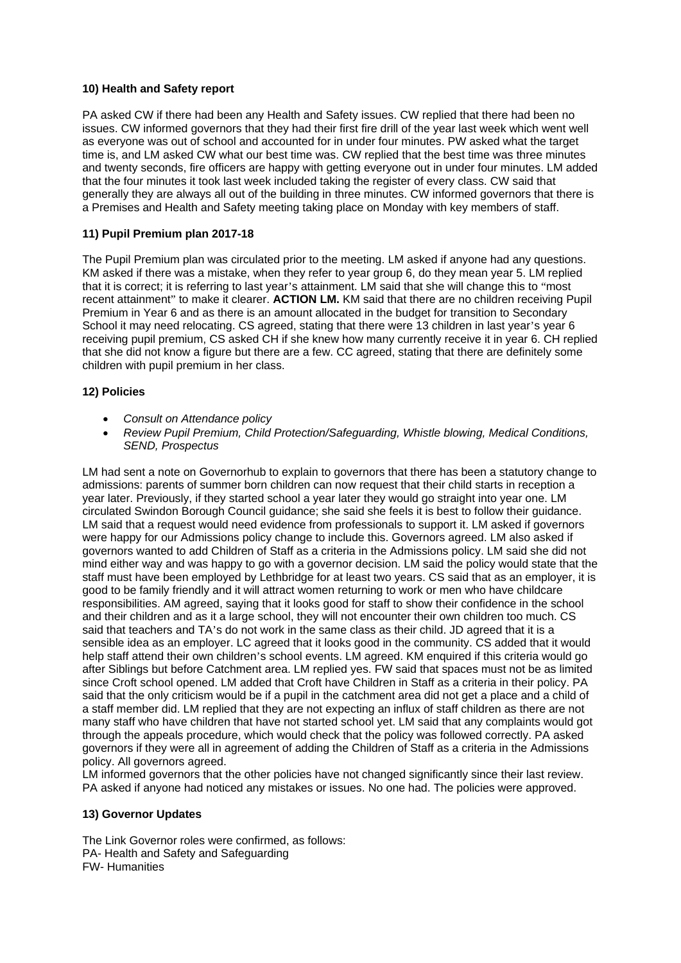## **10) Health and Safety report**

PA asked CW if there had been any Health and Safety issues. CW replied that there had been no issues. CW informed governors that they had their first fire drill of the year last week which went well as everyone was out of school and accounted for in under four minutes. PW asked what the target time is, and LM asked CW what our best time was. CW replied that the best time was three minutes and twenty seconds, fire officers are happy with getting everyone out in under four minutes. LM added that the four minutes it took last week included taking the register of every class. CW said that generally they are always all out of the building in three minutes. CW informed governors that there is a Premises and Health and Safety meeting taking place on Monday with key members of staff.

## **11) Pupil Premium plan 2017-18**

The Pupil Premium plan was circulated prior to the meeting. LM asked if anyone had any questions. KM asked if there was a mistake, when they refer to year group 6, do they mean year 5. LM replied that it is correct; it is referring to last year's attainment. LM said that she will change this to "most recent attainment" to make it clearer. **ACTION LM.** KM said that there are no children receiving Pupil Premium in Year 6 and as there is an amount allocated in the budget for transition to Secondary School it may need relocating. CS agreed, stating that there were 13 children in last year's year 6 receiving pupil premium, CS asked CH if she knew how many currently receive it in year 6. CH replied that she did not know a figure but there are a few. CC agreed, stating that there are definitely some children with pupil premium in her class.

### **12) Policies**

- *Consult on Attendance policy*
- *Review Pupil Premium, Child Protection/Safeguarding, Whistle blowing, Medical Conditions, SEND, Prospectus*

LM had sent a note on Governorhub to explain to governors that there has been a statutory change to admissions: parents of summer born children can now request that their child starts in reception a year later. Previously, if they started school a year later they would go straight into year one. LM circulated Swindon Borough Council guidance; she said she feels it is best to follow their guidance. LM said that a request would need evidence from professionals to support it. LM asked if governors were happy for our Admissions policy change to include this. Governors agreed. LM also asked if governors wanted to add Children of Staff as a criteria in the Admissions policy. LM said she did not mind either way and was happy to go with a governor decision. LM said the policy would state that the staff must have been employed by Lethbridge for at least two years. CS said that as an employer, it is good to be family friendly and it will attract women returning to work or men who have childcare responsibilities. AM agreed, saying that it looks good for staff to show their confidence in the school and their children and as it a large school, they will not encounter their own children too much. CS said that teachers and TA's do not work in the same class as their child. JD agreed that it is a sensible idea as an employer. LC agreed that it looks good in the community. CS added that it would help staff attend their own children's school events. LM agreed. KM enquired if this criteria would go after Siblings but before Catchment area. LM replied yes. FW said that spaces must not be as limited since Croft school opened. LM added that Croft have Children in Staff as a criteria in their policy. PA said that the only criticism would be if a pupil in the catchment area did not get a place and a child of a staff member did. LM replied that they are not expecting an influx of staff children as there are not many staff who have children that have not started school yet. LM said that any complaints would got through the appeals procedure, which would check that the policy was followed correctly. PA asked governors if they were all in agreement of adding the Children of Staff as a criteria in the Admissions policy. All governors agreed.

LM informed governors that the other policies have not changed significantly since their last review. PA asked if anyone had noticed any mistakes or issues. No one had. The policies were approved.

#### **13) Governor Updates**

The Link Governor roles were confirmed, as follows: PA- Health and Safety and Safeguarding FW- Humanities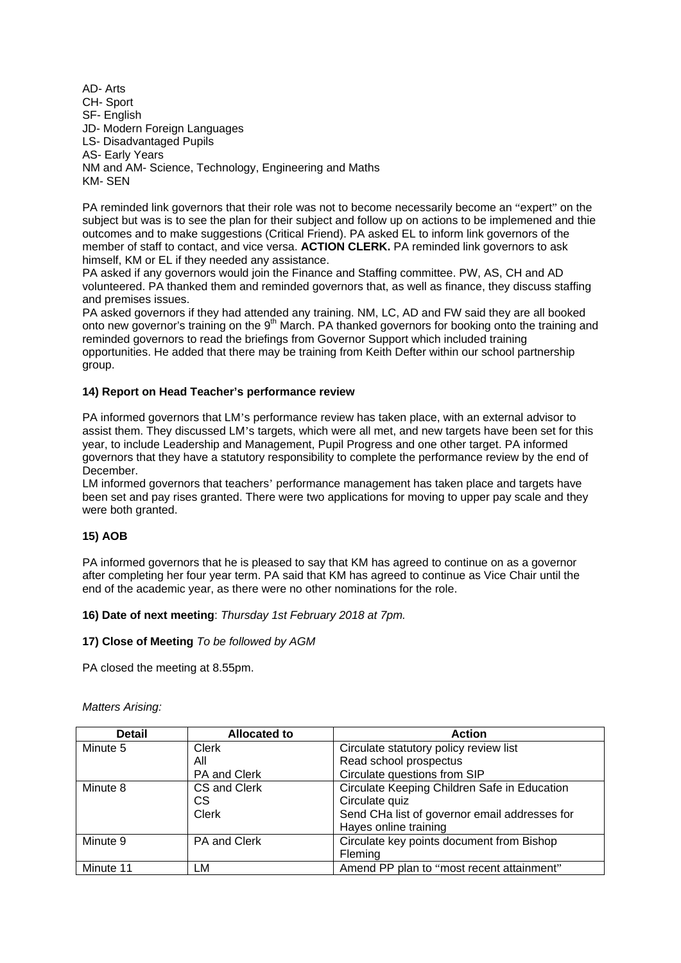AD- Arts CH- Sport SF- English JD- Modern Foreign Languages LS- Disadvantaged Pupils AS- Early Years NM and AM- Science, Technology, Engineering and Maths KM- SEN

PA reminded link governors that their role was not to become necessarily become an "expert" on the subject but was is to see the plan for their subject and follow up on actions to be implemened and thie outcomes and to make suggestions (Critical Friend). PA asked EL to inform link governors of the member of staff to contact, and vice versa. **ACTION CLERK.** PA reminded link governors to ask himself, KM or EL if they needed any assistance.

PA asked if any governors would join the Finance and Staffing committee. PW, AS, CH and AD volunteered. PA thanked them and reminded governors that, as well as finance, they discuss staffing and premises issues.

PA asked governors if they had attended any training. NM, LC, AD and FW said they are all booked onto new governor's training on the 9<sup>th</sup> March. PA thanked governors for booking onto the training and reminded governors to read the briefings from Governor Support which included training opportunities. He added that there may be training from Keith Defter within our school partnership group.

### **14) Report on Head Teacher's performance review**

PA informed governors that LM's performance review has taken place, with an external advisor to assist them. They discussed LM's targets, which were all met, and new targets have been set for this year, to include Leadership and Management, Pupil Progress and one other target. PA informed governors that they have a statutory responsibility to complete the performance review by the end of December.

LM informed governors that teachers' performance management has taken place and targets have been set and pay rises granted. There were two applications for moving to upper pay scale and they were both granted.

#### **15) AOB**

PA informed governors that he is pleased to say that KM has agreed to continue on as a governor after completing her four year term. PA said that KM has agreed to continue as Vice Chair until the end of the academic year, as there were no other nominations for the role.

#### **16) Date of next meeting**: *Thursday 1st February 2018 at 7pm.*

#### **17) Close of Meeting** *To be followed by AGM*

PA closed the meeting at 8.55pm.

| <b>Detail</b> | <b>Allocated to</b> | <b>Action</b>                                 |
|---------------|---------------------|-----------------------------------------------|
| Minute 5      | Clerk               | Circulate statutory policy review list        |
|               | All                 | Read school prospectus                        |
|               | PA and Clerk        | Circulate questions from SIP                  |
| Minute 8      | CS and Clerk        | Circulate Keeping Children Safe in Education  |
|               | CS.                 | Circulate quiz                                |
|               | Clerk               | Send CHa list of governor email addresses for |
|               |                     | Hayes online training                         |
| Minute 9      | <b>PA and Clerk</b> | Circulate key points document from Bishop     |
|               |                     | <b>Fleming</b>                                |
| Minute 11     | LМ                  | Amend PP plan to "most recent attainment"     |

*Matters Arising:*